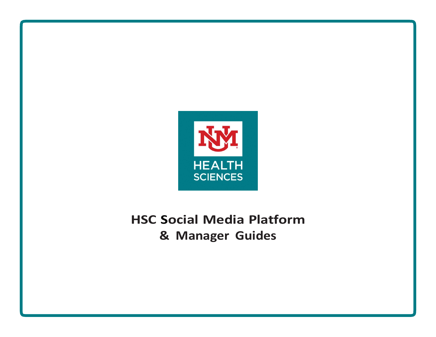

# **HSC Social Media Platform & Manager Guides**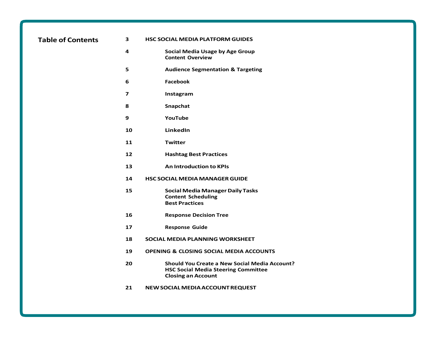|  |  | <b>Table of Contents</b> |  |
|--|--|--------------------------|--|
|--|--|--------------------------|--|

#### **Table of Contents 3 HSC SOCIAL MEDIA PLATFORM GUIDES**

- **Social Media Usage by Age Group Content Overview**
- **Audience Segmentation & Targeting**
- **Facebook**
- **Instagram**
- **Snapchat**
- **YouTube**
- **LinkedIn**
- **Twitter**
- **Hashtag Best Practices**
- **An Introduction to KPIs**
- **HSC SOCIALMEDIAMANAGERGUIDE**
- **Social Media Manager Daily Tasks Content Scheduling Best Practices**
- **Response Decision Tree**
- **Response Guide**
- **SOCIAL MEDIA PLANNING WORKSHEET**
- **OPENING & CLOSING SOCIAL MEDIA ACCOUNTS**
- **Should You Create a New Social Media Account? HSC Social Media Steering Committee Closing an Account**
- **NEWSOCIALMEDIA ACCOUNTREQUEST**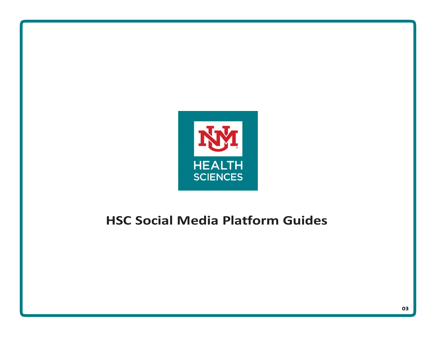

# **HSC Social Media Platform Guides**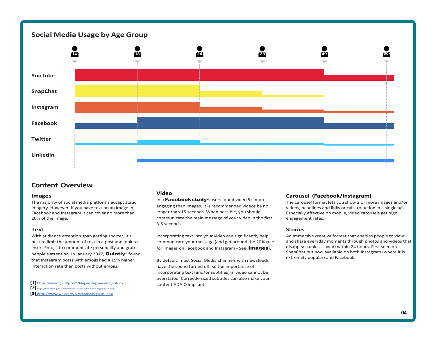# **Social Media Usage by Age Group**



# **Content Overview**

#### **Images**

The majority of social media platforms accept static imagery. However, if you have text on an image in Facebook and Instagram it can cover no more than 20% of the image.

#### **Text**

With audience attention span getting shorter, it's best to limit the amount of text in a post and look to insert Emojis to communicate personality and grab people's attention. In January 2017, **Quintly**<sup>1</sup> found that Instagram posts with emojis had a 15% higher interaction rate than posts without emojis.

- **[1]** https:/[/www.quintly.com/blog/instagram-emoji-study](http://www.quintly.com/blog/instagram-emoji-study)
- **[2]** <https://tubularinsights.com/facebook-users-video-more-engaging-images/>
- **[3]** https:/[/www.w3.org/WAI/standards-guidelines/](http://www.w3.org/WAI/standards-guidelines/)

#### **Video**

In a **Facebook study**<sup>2</sup>, users found video 5 $x$  more engaging than Images. It is recommended videos be no longer than 15 seconds. When possible, you should communicate the main message of your video in the first 3-5 seconds.

Incorporating text into your video can significantly help communicate your message (and get around the 20% rule for images on Facebook and Instagram - See Images).

By default, most Social Media channels with newsfeeds have the sound turned off, so the importance of incorporating text (and/or subtitles) in video cannot be overstated. Correctly-sized subtitles can also make your content ADA Compliant.

#### **Carousel (Facebook/Instagram)**

The carousel format lets you show 2 or more images and/or videos, headlines and links or calls-to-action in a single ad. Especially effective on mobile, video carousels get high engagement rates.

#### **Stories**

An immersive creative format that enables people to view and share everyday moments through photos and videos that disappear (unless saved) within 24 hours. First seen on SnapChat but now available on both Instagram (where it is extremely popular) and Facebook.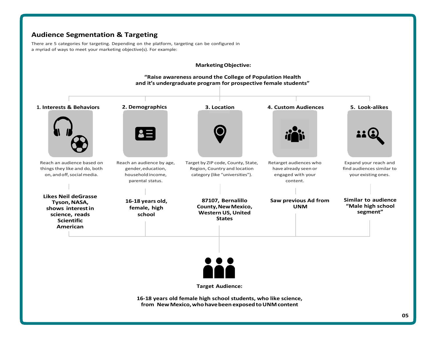# **Audience Segmentation & Targeting**

There are 5 categories for targeting. Depending on the platform, targeting can be configured in a myriad of ways to meet your marketing objective(s). For example:



**16-18 years old female high school students, who like science, from NewMexico, who have been exposed to UNMcontent**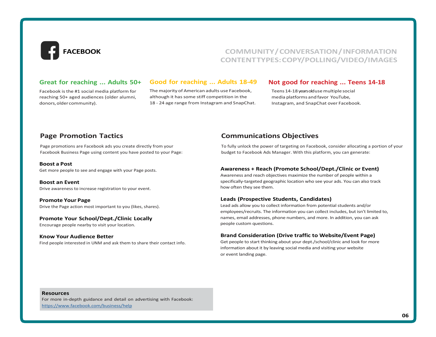

# **FACEBOOK COMMUNITY / CONVERSATION / INFORMATION CONTENTTYPES: COPY/POLLING/VIDEO/IMAGES**

## **Great for reaching ... Adults 50+**

Facebook is the #1 social media platform for reaching 50+ aged audiences (older alumni, donors, older community).

#### **Good for reaching ... Adults 18-49**

The majority of American adults use Facebook, although it has some stiff competition in the 18 - 24 age range from Instagram and SnapChat.

### **Not good for reaching ... Teens 14-18**

Teens 14-18 years old use multiple social media platforms and favor YouTube, Instagram, and SnapChat over Facebook.

# **Page Promotion Tactics**

Page promotions are Facebook ads you create directly from your Facebook Business Page using content you have posted to your Page:

#### **Boost a Post**

Get more people to see and engage with your Page posts.

**Boost an Event** Drive awareness to increase registration to your event.

**Promote Your Page** Drive the Page action most important to you (likes, shares).

#### **Promote Your School/Dept./Clinic Locally**

Encourage people nearby to visit your location.

#### **Know Your Audience Better**

Find people interested in UNM and ask them to share their contact info.

# **Communications Objectives**

To fully unlock the power of targeting on Facebook, consider allocating a portion of your budget to Facebook Ads Manager. With this platform, you can generate:

#### **Awareness + Reach (Promote School/Dept./Clinic or Event)**

Awareness and reach objectives maximize the number of people within a specifically-targeted geographic location who see your ads. You can also track how often they see them.

#### **Leads (Prospective Students, Candidates)**

Lead ads allow you to collect information from potential students and/or employees/recruits. The information you can collect includes, but isn't limited to, names, email addresses, phone numbers, and more. In addition, you can ask people custom questions.

#### **Brand Consideration (Drive traffic to Website/Event Page)**

Get people to start thinking about your dept./school/clinic and look for more information about it by leaving social media and visiting your website or event landing page.

#### **Resources**

For more in-depth guidance and detail on advertising with Facebook: https:/[/www.facebook.com/business/help](http://www.facebook.com/business/help)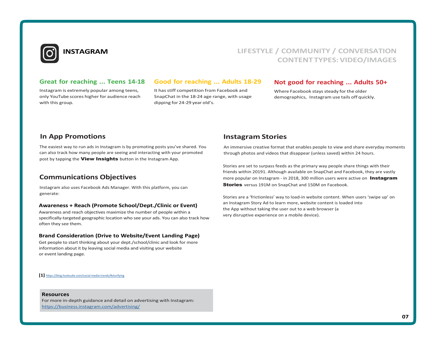

# **INSTAGRAM LIFESTYLE / COMMUNITY / CONVERSATION CONTENTTYPES: VIDEO/IMAGES**

### **Great for reaching ... Teens 14-18**

Instagram is extremely popular among teens, only YouTube scores higher for audience reach with this group.

## **Good for reaching ... Adults 18-29**

It has stiff competition from Facebook and SnapChat in the 18-24 age range, with usage dipping for 24-29 year old's.

### **Not good for reaching ... Adults 50+**

Where Facebook stays steady for the older demographics, Instagram use tails off quickly.

# **In App Promotions**

The easiest way to run ads in Instagram is by promoting posts you've shared. You can also track how many people are seeing and interacting with your promoted post by tapping the View Insights button in the Instagram App.

# **Communications Objectives**

Instagram also uses Facebook Ads Manager. With this platform, you can generate:

#### **Awareness + Reach (Promote School/Dept./Clinic or Event)**

Awareness and reach objectives maximize the number of people within a specifically-targeted geographic location who see your ads. You can also track how often they see them.

#### **Brand Consideration (Drive to Website/Event Landing Page)**

Get people to start thinking about your dept./school/clinic and look for more information about it by leaving social media and visiting your website or event landing page.

**[1]** https://blog.hootsuite.com/social-media-trends/#storifying

#### **Resources**

For more in-depth guidance and detail on advertising with Instagram: https://business.instagram.com/advertising/

# **Instagram Stories**

An immersive creative format that enables people to view and share everyday moments through photos and videos that disappear (unless saved) within 24 hours.

Stories are set to surpass feeds as the primary way people share things with their friends within 20191. Although available on SnapChat and Facebook, they are vastly more popular on Instagram - in 2018, 300 million users were active on **Instagram Stories** versus 191M on SnapChat and 150M on Facebook.

Stories are a 'frictionless' way to load-in website content. When users 'swipe up' on an Instagram Story Ad to learn more, website content is loaded into the App without taking the user out to a web browser (a very disruptive experience on a mobile device).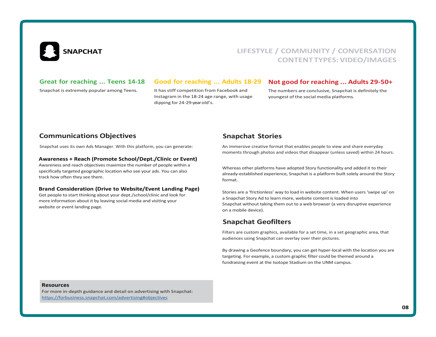

# **SNAPCHAT LIFESTYLE / COMMUNITY / CONVERSATION CONTENTTYPES: VIDEO/IMAGES**

## **Great for reaching ... Teens 14-18**

Snapchat is extremely popular among Teens.

## **Good for reaching ... Adults 18-29**

It has stiff competition from Facebook and Instagram in the 18-24 age range, with usage dipping for 24-29-yearold's.

## **Not good for reaching ... Adults 29-50+**

The numbers are conclusive, Snapchat is definitely the youngest of the social media platforms.

# **Communications Objectives Snapchat Stories Snapchat Stories**

Snapchat uses its own Ads Manager. With this platform, you can generate:

#### **Awareness + Reach (Promote School/Dept./Clinic or Event)**

Awareness and reach objectives maximize the number of people within a specifically targeted geographic location who see your ads. You can also track how often they see them.

#### **Brand Consideration (Drive to Website/Event Landing Page)**

Get people to start thinking about your dept./school/clinic and look for more information about it by leaving social media and visiting your website or event landing page.

An immersive creative format that enables people to view and share everyday moments through photos and videos that disappear (unless saved) within 24 hours.

Whereas other platforms have adopted Story functionality and added it to their already-established experience, Snapchat is a platform built solely around the Story format.

Stories are a 'frictionless' way to load in website content. When users 'swipe up' on a Snapchat Story Ad to learn more, website content is loaded into Snapchat without taking them out to a web browser (a very disruptive experience on a mobile device).

# **Snapchat Geofilters**

Filters are custom graphics, available for a set time, in a set geographic area, that audiences using Snapchat can overlay over their pictures.

By drawing a Geofence boundary, you can get hyper-local with the location you are targeting. For example, a custom graphic filter could be themed around a fundraising event at the Isotope Stadium on the UNM campus.

#### **Resources**

For more in-depth guidance and detail on advertising with Snapchat: https://forbusiness.snapchat.com/advertising#objectives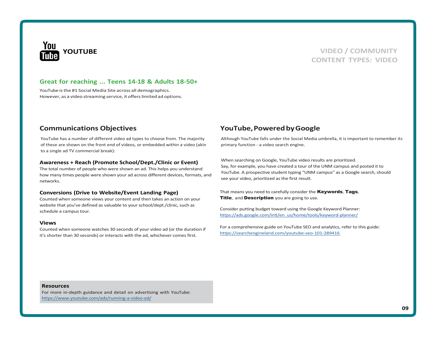

# **YOUTUBE VIDEO / COMMUNITY CONTENT TYPES: VIDEO**

### **Great for reaching ... Teens 14-18 & Adults 18-50+**

YouTube is the #1 Social Media Site across all demographics. However, as a video streaming service, it offers limited ad options.

YouTube has a number of different video ad types to choose from. The majority of these are shown on the front end of videos, or embedded within a video (akin to a single ad TV commercial break):

#### **Awareness + Reach (Promote School/Dept./Clinic or Event)**

The total number of people who were shown an ad. This helps you understand how many times people were shown your ad across different devices, formats, and networks.

#### **Conversions (Drive to Website/Event Landing Page)**

Counted when someone views your content and then takes an action on your website that you've defined as valuable to your school/dept./clinic, such as schedule a campus tour.

#### **Views**

Counted when someone watches 30 seconds of your video ad (or the duration if it's shorter than 30 seconds) or interacts with the ad, whichever comes first.

# **Communications Objectives YouTube, Powered by Google**

Although YouTube falls under the Social Media umbrella, it is important to remember its primary function - a video search engine.

When searching on Google, YouTube video results are prioritized. Say, for example, you have created a tour of the UNM campus and posted it to YouTube. A prospective student typing "UNM campus" as a Google search, should see your video, prioritized as the first result.

That means you need to carefully consider the **Keywords, Tags**, Title, and Description you are going to use.

Consider putting budget toward using the Google Keyword Planner: https://ads.google.com/intl/en\_us/home/tools/keyword-planner/

For a comprehensive guide on YouTube SEO and analytics, refer to this guide: https://searchengineland.com/youtube-seo-101-289416

#### **Resources**

For more in-depth guidance and detail on advertising with YouTube: https:/[/www.youtube.com/ads/running-a-video-ad/](http://www.youtube.com/ads/running-a-video-ad/)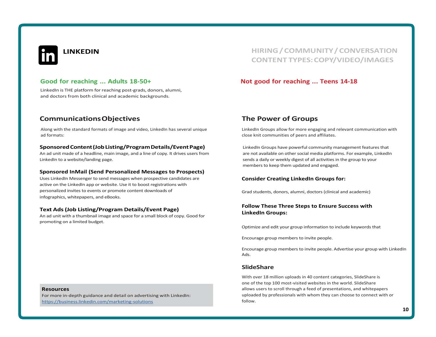

# **Good for reaching ... Adults 18-50+**

LinkedIn is THE platform for reaching post-grads, donors, alumni, and doctors from both clinical and academic backgrounds.

# **Communications Objectives**

Along with the standard formats of image and video, LinkedIn has several unique ad formats:

#### **SponsoredContent (JobListing/ProgramDetails/Event Page)**

An ad unit made of a headline, main image, and a line of copy. It drives users from LinkedIn to a website/landing page.

#### **Sponsored InMail (Send Personalized Messages to Prospects)**

Uses LinkedIn Messenger to send messages when prospective candidates are active on the LinkedIn app or website. Use it to boost registrations with personalized invites to events or promote content downloads of infographics, whitepapers, and eBooks.

#### **Text Ads (Job Listing/Program Details/Event Page)**

An ad unit with a thumbnail image and space for a small block of copy. Good for promoting on a limited budget.

**LINKEDIN HIRING / COMMUNITY / CONVERSATION CONTENT TYPES: COPY/VIDEO/IMAGES**

## **Not good for reaching ... Teens 14-18**

# **The Power of Groups**

LinkedIn Groups allow for more engaging and relevant communication with close knit communities of peers and affiliates.

LinkedIn Groups have powerful community management features that are not available on other social media platforms. For example, LinkedIn sends a daily or weekly digest of all activities in the group to your members to keep them updated and engaged.

#### **Consider Creating LinkedIn Groups for:**

Grad students, donors, alumni, doctors (clinical and academic)

#### **Follow These Three Steps to Ensure Success with LinkedIn Groups:**

Optimize and edit your group information to include keywords that

Encourage group members to invite people.

Encourage group members to invite people. Advertise your group with LinkedIn Ads.

### **SlideShare**

With over 18 million uploads in 40 content categories, SlideShare is one of the top 100 most-visited websites in the world. SlideShare allows users to scroll through a feed of presentations, and whitepapers uploaded by professionals with whom they can choose to connect with or follow.

#### **Resources**

For more in-depth guidance and detail on advertising with LinkedIn: https://business.linkedin.com/marketing-solutions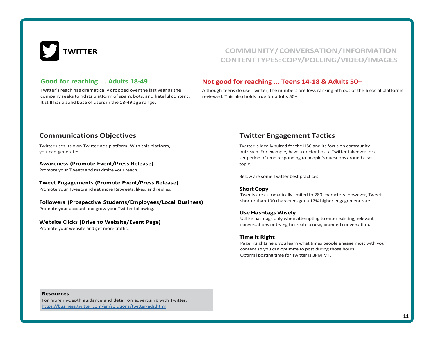

# **TWITTER COMMUNITY/CONVERSATION/INFORMATION CONTENTTYPES: COPY/POLLING/VIDEO/IMAGES**

# **Good for reaching ... Adults 18-49**

Twitter's reach has dramatically dropped overthe last year asthe company seeks to rid its platform of spam, bots, and hateful content. It still has a solid base of users in the 18-49 age range.

## **Not good for reaching ... Teens 14-18 & Adults 50+**

Although teens do use Twitter, the numbers are low, ranking 5th out of the 6 social platforms reviewed. This also holds true for adults 50+.

# **Communications Objectives**

Twitter uses its own Twitter Ads platform. With this platform, you can generate:

**Awareness (Promote Event/Press Release)**

Promote your Tweets and maximize your reach.

#### **Tweet Engagements (Promote Event/Press Release)**

Promote your Tweets and get more Retweets, likes, and replies.

#### **Followers (Prospective Students/Employees/Local Business)**

Promote your account and grow your Twitter following.

#### **Website Clicks (Drive to Website/Event Page)**

Promote your website and get more traffic.

# **Twitter Engagement Tactics**

Twitter is ideally suited for the HSC and its focus on community outreach. For example, have a doctor host a Twitter takeover for a set period of time responding to people's questions around a set topic.

Below are some Twitter best practices:

#### **Short Copy**

Tweets are automatically limited to 280 characters. However, Tweets shorter than 100 characters get a 17% higher engagement rate.

#### **Use Hashtags Wisely**

Utilize hashtags only when attempting to enter existing, relevant conversations or trying to create a new, branded conversation.

#### **Time It Right**

Page Insights help you learn what times people engage most with your content so you can optimize to post during those hours. Optimal posting time for Twitter is 3PM MT.

#### **Resources**

For more in-depth guidance and detail on advertising with Twitter: https://business.twitter.com/en/solutions/twitter-ads.html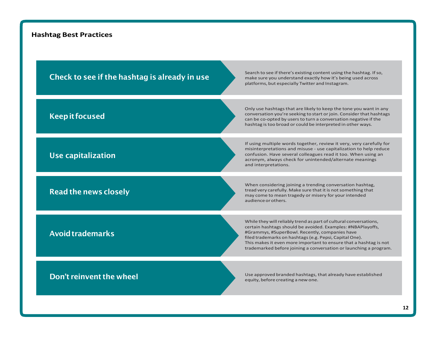# **Hashtag Best Practices**

| Check to see if the hashtag is already in use | Search to see if there's existing content using the hashtag. If so,<br>make sure you understand exactly how it's being used across<br>platforms, but especially Twitter and Instagram.                                                                                                                                                                                                  |
|-----------------------------------------------|-----------------------------------------------------------------------------------------------------------------------------------------------------------------------------------------------------------------------------------------------------------------------------------------------------------------------------------------------------------------------------------------|
| <b>Keep it focused</b>                        | Only use hashtags that are likely to keep the tone you want in any<br>conversation you're seeking to start or join. Consider that hashtags<br>can be co-opted by users to turn a conversation negative if the<br>hashtag is too broad or could be interpreted in other ways.                                                                                                            |
| Use capitalization                            | If using multiple words together, review it very, very carefully for<br>misinterpretations and misuse - use capitalization to help reduce<br>confusion. Have several colleagues read it too. When using an<br>acronym, always check for unintended/alternate meanings<br>and interpretations.                                                                                           |
| <b>Read the news closely</b>                  | When considering joining a trending conversation hashtag,<br>tread very carefully. Make sure that it is not something that<br>may come to mean tragedy or misery for your intended<br>audience or others.                                                                                                                                                                               |
| <b>Avoid trademarks</b>                       | While they will reliably trend as part of cultural conversations,<br>certain hashtags should be avoided. Examples: #NBAPlayoffs,<br>#Grammys, #SuperBowl. Recently, companies have<br>filed trademarks on hashtags (e.g. Pepsi, Capital One).<br>This makes it even more important to ensure that a hashtag is not<br>trademarked before joining a conversation or launching a program. |
| Don't reinvent the wheel                      | Use approved branded hashtags, that already have established                                                                                                                                                                                                                                                                                                                            |
|                                               | equity, before creating a new one.                                                                                                                                                                                                                                                                                                                                                      |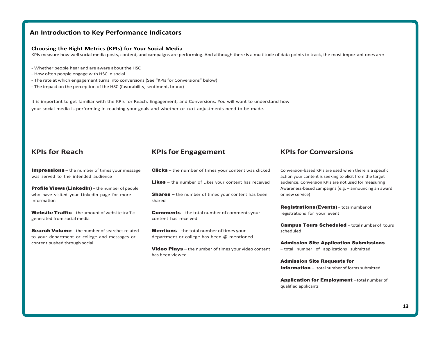# **An Introduction to Key Performance Indicators**

#### **Choosing the Right Metrics (KPIs) for Your Social Media**

KPIs measure how well social media posts, content, and campaigns are performing. And although there is a multitude of data points to track, the most important ones are:

- Whether people hear and are aware about the HSC
- How often people engage with HSC in social
- The rate at which engagement turns into conversions (See "KPIs for Conversions" below)
- The impact on the perception of the HSC (favorability, sentiment, brand)

It is important to get familiar with the KPIs for Reach, Engagement, and Conversions. You will want to understand how your social media is performing in reaching your goals and whether or not adjustments need to be made.

Impressions – the number of times your message was served to the intended audience

Profile Views (LinkedIn) – the number of people who have visited your LinkedIn page for more information

Website Traffic-the amount of website traffic generated from social media

Search Volume-the number of searches related to your department or college and messages or content pushed through social

# **KPIs for Reach KPIsfor Engagement KPIsfor Conversions**

**Clicks** – the number of times your content was clicked

**Likes** – the number of Likes your content has received

**Shares** – the number of times your content has been shared

**Comments** – the total number of comments your content has received

Mentions – the total number of times your department or college has been @ mentioned

Video Plays – the number of times your video content has been viewed

Conversion-based KPIs are used when there is a specific action your content is seeking to elicit from the target audience. Conversion KPIs are not used for measuring Awareness-based campaigns (e.g. – announcing an award or new service)

Registrations(Events)– totalnumber of registrations for your event

Campus Tours Scheduled - total number of tours scheduled

Admission Site Application Submissions – total number of applications submitted

Admission Site Requests for **Information** – total number of forms submitted

Application for Employment - total number of qualified applicants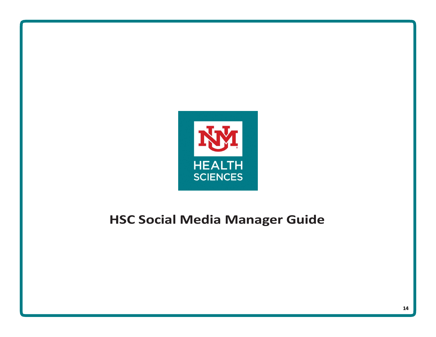

# **HSC Social Media Manager Guide**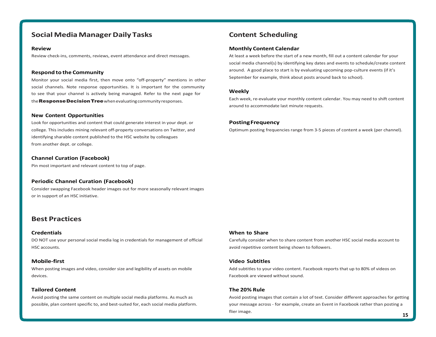# **Social Media Manager Daily Tasks Content Scheduling**

#### **Review**

Review check-ins, comments, reviews, event attendance and direct messages.

#### **Respond to the Community**

Monitor your social media first, then move onto "off-property" mentions in other social channels. Note response opportunities. It is important for the community to see that your channel is actively being managed. Refer to the next page for the Response Decision Tree when evaluating community responses.

#### **New Content Opportunities**

Look for opportunities and content that could generate interest in your dept. or college. This includes mining relevant off-property conversations on Twitter, and identifying sharable content published to the HSC website by colleagues from another dept. or college.

#### **Channel Curation (Facebook)**

Pin most important and relevant content to top of page.

#### **Periodic Channel Curation (Facebook)**

Consider swapping Facebook header images out for more seasonally relevant images or in support of an HSC initiative.

# **Best Practices**

#### **Credentials**

DO NOT use your personal social media log in credentials for management of official HSC accounts.

#### **Mobile-first**

When posting images and video, consider size and legibility of assets on mobile devices.

#### **Tailored Content**

Avoid posting the same content on multiple social media platforms. As much as possible, plan content specific to, and best-suited for, each social media platform.

#### **Monthly Content Calendar**

At least a week before the start of a new month, fill out a content calendar for your social media channel(s) by identifying key dates and events to schedule/create content around. A good place to start is by evaluating upcoming pop-culture events (if it's September for example, think about posts around back to school).

#### **Weekly**

Each week, re-evaluate your monthly content calendar. You may need to shift content around to accommodate last minute requests.

#### **PostingFrequency**

Optimum posting frequencies range from 3-5 pieces of content a week (per channel).

#### **When to Share**

Carefully consider when to share content from another HSC social media account to avoid repetitive content being shown to followers.

#### **Video Subtitles**

Add subtitles to your video content. Facebook reports that up to 80% of videos on Facebook are viewed without sound.

#### **The 20% Rule**

Avoid posting images that contain a lot of text. Consider different approaches for getting your message across - for example, create an Event in Facebook rather than posting a flier image. **15**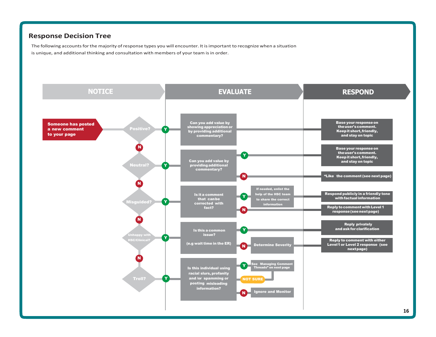# **Response Decision Tree**

The following accounts for the majority of response types you will encounter. It is important to recognize when a situation is unique, and additional thinking and consultation with members of your team is in order.

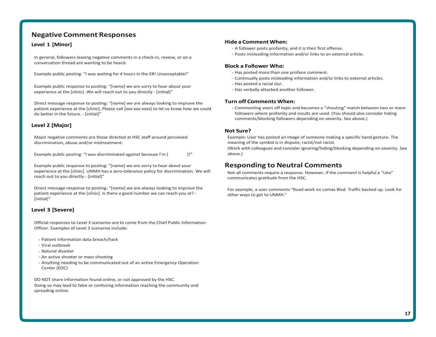# **Negative Comment Responses**

#### **Level 1 [Minor]**

In general, followers leaving negative comments in a check-in, review, or on a conversation thread are wanting to be heard:

Example public posting: "I was waiting for 4 hours in the ER! Unacceptable!"

Example public response to posting: "[name] we are sorry to hear about your experience at the [clinic]. We will reach out to you directly - [initial]"

Direct message response to posting: "[name] we are always looking to improve the patient experience at the [clinic]. Please call [xxx-xxx-xxxx] to let us know how we could do better in the future. - [initial]"

#### **Level 2 [Major]**

Major negative comments are those directed at HSC staff around perceived discrimination, abuse and/or mistreatment:

Example public posting: "I was discriminated against because I'm [  $\qquad$  ]!"

Example public response to posting: "[name] we are sorry to hear about your experience at the [clinic]. UNMH has a zero-tolerance policy for discrimination. We will reach out to you directly - [initial]"

Direct message response to posting: "[name] we are always looking to improve the patient experience at the [clinic]. Is there a good number we can reach you at? - [initial]"

#### **Level 3 [Severe)**

Official responses to Level 3 scenarios are to come from the Chief Public Information Officer. Examples of Level 3 scenarios include:

- Patient information data breach/hack
- Viral outbreak
- Natural disaster
- An active shooter or mass shooting
- Anything needing to be communicated out of an active Emergency Operation Center (EOC)

DO NOT share information found online, or not approved by the HSC. Doing so may lead to false or confusing information reaching the community and spreading online.

#### **Hide a Comment When:**

- A follower posts profanity, and it is their first offense.
- Posts misleading information and/or links to an external article.

#### **Block a Follower Who:**

- Has posted more than one profane comment.
- Continually posts misleading information and/or links to external articles.
- Has posted a racial slur.
- Has verbally attacked another follower.

#### **Turn off Comments When:**

- Commenting veers off topic and becomes a "shouting" match between two or more followers where profanity and insults are used. (You should also consider hiding comments/blocking followers depending on severity. See above.)

#### **Not Sure?**

Example: User has posted an image of someone making a specific hand gesture. The meaning of the symbol is in dispute; racist/not racist.

(Work with colleagues and consider ignoring/hiding/blocking depending on severity. See above.)

# **Responding to Neutral Comments**

Not all comments require a response. However, if the comment is helpful a "Like" communicates gratitude from the HSC.

For example, a user comments "Road work on Lomas Blvd. Traffic backed up. Look for other ways to get to UNMH."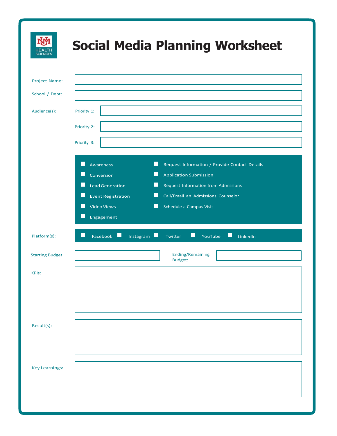| <b>SCIENCES</b>         | <b>Social Media Planning Worksheet</b>                                                                                                                                                                                                                                                                                                                                              |
|-------------------------|-------------------------------------------------------------------------------------------------------------------------------------------------------------------------------------------------------------------------------------------------------------------------------------------------------------------------------------------------------------------------------------|
| Project Name:           |                                                                                                                                                                                                                                                                                                                                                                                     |
| School / Dept:          |                                                                                                                                                                                                                                                                                                                                                                                     |
| Audience(s):            | Priority 1:                                                                                                                                                                                                                                                                                                                                                                         |
|                         |                                                                                                                                                                                                                                                                                                                                                                                     |
|                         | Priority 2:                                                                                                                                                                                                                                                                                                                                                                         |
|                         | Priority 3:                                                                                                                                                                                                                                                                                                                                                                         |
|                         | H<br>ш<br>Request Information / Provide Contact Details<br>Awareness<br>H.<br>Conversion<br><b>Application Submission</b><br>M<br>ш<br><b>Lead Generation</b><br><b>Request Information from Admissions</b><br>L<br>L<br><b>Event Registration</b><br>Call/Email an Admissions Counselor<br>H<br><b>Talling</b><br><b>Video Views</b><br>Schedule a Campus Visit<br>П<br>Engagement |
| Platform(s):            | H<br>Facebook<br>H<br>YouTube<br>LinkedIn<br>L.<br>Instagram<br>Twitter                                                                                                                                                                                                                                                                                                             |
| <b>Starting Budget:</b> | <b>Ending/Remaining</b><br><b>Budget:</b>                                                                                                                                                                                                                                                                                                                                           |
| <b>KPIs:</b>            |                                                                                                                                                                                                                                                                                                                                                                                     |
| Result(s):              |                                                                                                                                                                                                                                                                                                                                                                                     |
| <b>Key Learnings:</b>   |                                                                                                                                                                                                                                                                                                                                                                                     |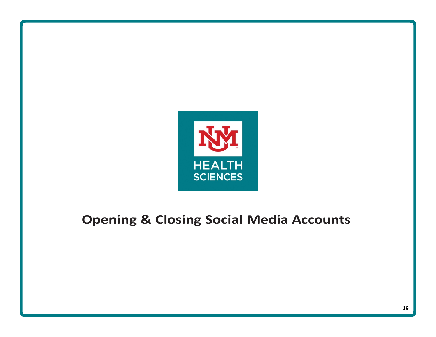

# **Opening & Closing Social Media Accounts**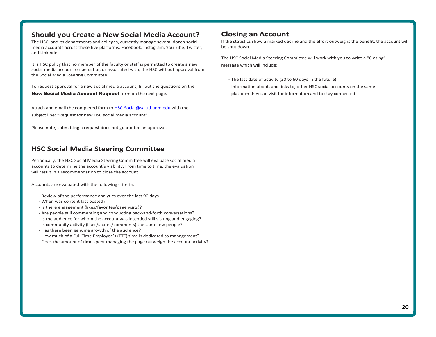# **Should you Create a New Social Media Account?**

The HSC, and its departments and colleges, currently manage several dozen social media accounts across these five platforms: Facebook, Instagram, YouTube, Twitter, and LinkedIn.

It is HSC policy that no member of the faculty or staff is permitted to create a new social media account on behalf of, or associated with, the HSC without approval from the Social Media Steering Committee.

To request approval for a new social media account, fill out the questions on the

New Social Media Account Request form on the next page.

Attach and email the completed form t[o HSC-Social@salud.unm.edu w](mailto:HSC-Social@salud.unm.edu)ith the subject line: "Request for new HSC social media account".

Please note, submitting a request does not guarantee an approval.

# **HSC Social Media Steering Committee**

Periodically, the HSC Social Media Steering Committee will evaluate social media accounts to determine the account's viability. From time to time, the evaluation will result in a recommendation to close the account.

Accounts are evaluated with the following criteria:

- Review of the performance analytics over the last 90 days
- When was content last posted?
- Is there engagement (likes/favorites/page visits)?
- Are people still commenting and conducting back-and-forth conversations?
- Is the audience for whom the account was intended still visiting and engaging?
- Is community activity (likes/shares/comments) the same few people?
- Has there been genuine growth of the audience?
- How much of a Full Time Employee's (FTE) time is dedicated to management?
- Does the amount of time spent managing the page outweigh the account activity?

# **Closing an Account**

If the statistics show a marked decline and the effort outweighs the benefit, the account will be shut down.

The HSC Social Media Steering Committee will work with you to write a "Closing" message which will include:

- The last date of activity (30 to 60 days in the future)
- Information about, and links to, other HSC social accounts on the same platform they can visit for information and to stay connected